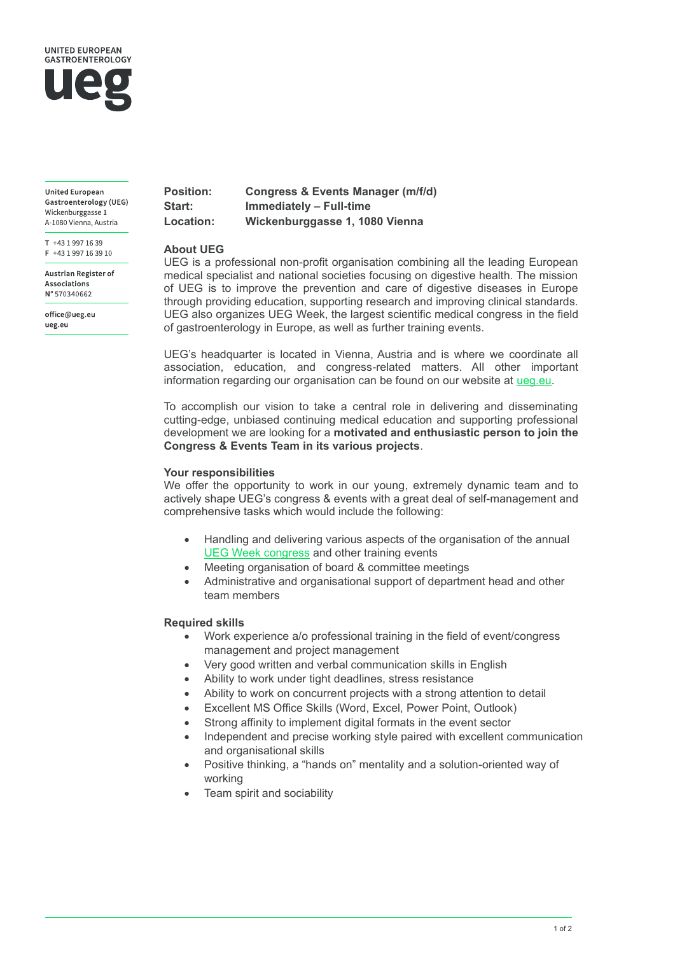

**United European** Gastroenterology (UEG) Wickenburggasse 1 A-1080 Vienna, Austria

T +43 1 997 16 39  $F + 431997163910$ 

**Austrian Register of** Associations N° 570340662

office@ueg.eu ueg.eu

| <b>Position:</b> | <b>Congress &amp; Events Manager (m/f/d)</b> |
|------------------|----------------------------------------------|
| Start:           | Immediately - Full-time                      |
| <b>Location:</b> | Wickenburggasse 1, 1080 Vienna               |

### **About UEG**

UEG is a professional non-profit organisation combining all the leading European medical specialist and national societies focusing on digestive health. The mission of UEG is to improve the prevention and care of digestive diseases in Europe through providing education, supporting research and improving clinical standards. UEG also organizes UEG Week, the largest scientific medical congress in the field of gastroenterology in Europe, as well as further training events.

UEG's headquarter is located in Vienna, Austria and is where we coordinate all association, education, and congress-related matters. All other important information regarding our organisation can be found on our website at [ueg.eu.](http://www.ueg.eu/)

To accomplish our vision to take a central role in delivering and disseminating cutting-edge, unbiased continuing medical education and supporting professional development we are looking for a **motivated and enthusiastic person to join the Congress & Events Team in its various projects**.

## **Your responsibilities**

We offer the opportunity to work in our young, extremely dynamic team and to actively shape UEG's congress & events with a great deal of self-management and comprehensive tasks which would include the following:

- Handling and delivering various aspects of the organisation of the annual [UEG Week](https://ueg.eu/week) congress and other training events
- Meeting organisation of board & committee meetings
- Administrative and organisational support of department head and other team members

# **Required skills**

- Work experience a/o professional training in the field of event/congress management and project management
- Very good written and verbal communication skills in English
- Ability to work under tight deadlines, stress resistance
- Ability to work on concurrent projects with a strong attention to detail
- Excellent MS Office Skills (Word, Excel, Power Point, Outlook)
- Strong affinity to implement digital formats in the event sector
- Independent and precise working style paired with excellent communication and organisational skills
- Positive thinking, a "hands on" mentality and a solution-oriented way of working
- Team spirit and sociability